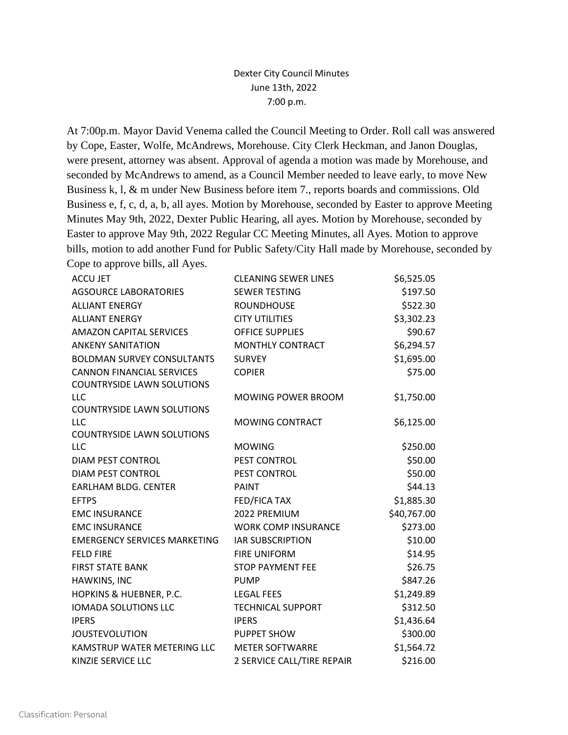## Dexter City Council Minutes June 13th, 2022 7:00 p.m.

At 7:00p.m. Mayor David Venema called the Council Meeting to Order. Roll call was answered by Cope, Easter, Wolfe, McAndrews, Morehouse. City Clerk Heckman, and Janon Douglas, were present, attorney was absent. Approval of agenda a motion was made by Morehouse, and seconded by McAndrews to amend, as a Council Member needed to leave early, to move New Business k, l, & m under New Business before item 7., reports boards and commissions. Old Business e, f, c, d, a, b, all ayes. Motion by Morehouse, seconded by Easter to approve Meeting Minutes May 9th, 2022, Dexter Public Hearing, all ayes. Motion by Morehouse, seconded by Easter to approve May 9th, 2022 Regular CC Meeting Minutes, all Ayes. Motion to approve bills, motion to add another Fund for Public Safety/City Hall made by Morehouse, seconded by Cope to approve bills, all Ayes.

| <b>ACCU JET</b>                     | <b>CLEANING SEWER LINES</b> | \$6,525.05  |
|-------------------------------------|-----------------------------|-------------|
| <b>AGSOURCE LABORATORIES</b>        | <b>SEWER TESTING</b>        | \$197.50    |
| <b>ALLIANT ENERGY</b>               | <b>ROUNDHOUSE</b>           | \$522.30    |
| <b>ALLIANT ENERGY</b>               | <b>CITY UTILITIES</b>       | \$3,302.23  |
| <b>AMAZON CAPITAL SERVICES</b>      | <b>OFFICE SUPPLIES</b>      | \$90.67     |
| <b>ANKENY SANITATION</b>            | MONTHLY CONTRACT            | \$6,294.57  |
| <b>BOLDMAN SURVEY CONSULTANTS</b>   | <b>SURVEY</b>               | \$1,695.00  |
| <b>CANNON FINANCIAL SERVICES</b>    | <b>COPIER</b>               | \$75.00     |
| <b>COUNTRYSIDE LAWN SOLUTIONS</b>   |                             |             |
| <b>LLC</b>                          | MOWING POWER BROOM          | \$1,750.00  |
| <b>COUNTRYSIDE LAWN SOLUTIONS</b>   |                             |             |
| <b>LLC</b>                          | MOWING CONTRACT             | \$6,125.00  |
| <b>COUNTRYSIDE LAWN SOLUTIONS</b>   |                             |             |
| <b>LLC</b>                          | <b>MOWING</b>               | \$250.00    |
| <b>DIAM PEST CONTROL</b>            | PEST CONTROL                | \$50.00     |
| <b>DIAM PEST CONTROL</b>            | PEST CONTROL                | \$50.00     |
| <b>EARLHAM BLDG. CENTER</b>         | <b>PAINT</b>                | \$44.13     |
| <b>EFTPS</b>                        | FED/FICA TAX                | \$1,885.30  |
| <b>EMC INSURANCE</b>                | 2022 PREMIUM                | \$40,767.00 |
| <b>EMC INSURANCE</b>                | <b>WORK COMP INSURANCE</b>  | \$273.00    |
| <b>EMERGENCY SERVICES MARKETING</b> | <b>IAR SUBSCRIPTION</b>     | \$10.00     |
| <b>FELD FIRE</b>                    | <b>FIRE UNIFORM</b>         | \$14.95     |
| <b>FIRST STATE BANK</b>             | <b>STOP PAYMENT FEE</b>     | \$26.75     |
| HAWKINS, INC                        | <b>PUMP</b>                 | \$847.26    |
| HOPKINS & HUEBNER, P.C.             | <b>LEGAL FEES</b>           | \$1,249.89  |
| <b>IOMADA SOLUTIONS LLC</b>         | <b>TECHNICAL SUPPORT</b>    | \$312.50    |
| <b>IPERS</b>                        | <b>IPERS</b>                | \$1,436.64  |
| <b>JOUSTEVOLUTION</b>               | <b>PUPPET SHOW</b>          | \$300.00    |
| KAMSTRUP WATER METERING LLC         | <b>METER SOFTWARRE</b>      | \$1,564.72  |
| KINZIE SERVICE LLC                  | 2 SERVICE CALL/TIRE REPAIR  | \$216.00    |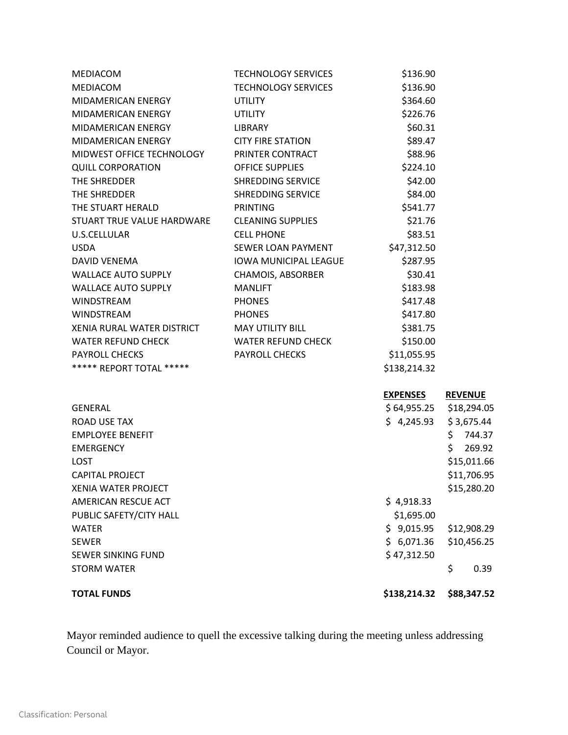| <b>TOTAL FUNDS</b>                           |                            | \$138,214.32    | \$88,347.52    |
|----------------------------------------------|----------------------------|-----------------|----------------|
| <b>STORM WATER</b>                           |                            |                 | \$<br>0.39     |
| <b>SEWER SINKING FUND</b>                    |                            | \$47,312.50     |                |
| <b>SEWER</b>                                 |                            | \$6,071.36      | \$10,456.25    |
| <b>WATER</b>                                 |                            | \$9,015.95      | \$12,908.29    |
| PUBLIC SAFETY/CITY HALL                      |                            | \$1,695.00      |                |
| AMERICAN RESCUE ACT                          |                            | \$4,918.33      |                |
| <b>XENIA WATER PROJECT</b>                   |                            |                 | \$15,280.20    |
| <b>CAPITAL PROJECT</b>                       |                            |                 | \$11,706.95    |
| <b>LOST</b>                                  |                            |                 | \$15,011.66    |
| <b>EMERGENCY</b>                             |                            |                 | \$.<br>269.92  |
| <b>EMPLOYEE BENEFIT</b>                      |                            |                 | \$.<br>744.37  |
| ROAD USE TAX                                 |                            | \$4,245.93      | \$3,675.44     |
| <b>GENERAL</b>                               |                            | \$ 64,955.25    | \$18,294.05    |
|                                              |                            | <b>EXPENSES</b> | <b>REVENUE</b> |
| ***** REPORT TOTAL *****                     |                            | \$138,214.32    |                |
| PAYROLL CHECKS                               | PAYROLL CHECKS             | \$11,055.95     |                |
| <b>WATER REFUND CHECK</b>                    | <b>WATER REFUND CHECK</b>  | \$150.00        |                |
| XENIA RURAL WATER DISTRICT                   | <b>MAY UTILITY BILL</b>    | \$381.75        |                |
| <b>WINDSTREAM</b>                            | <b>PHONES</b>              | \$417.80        |                |
| <b>WINDSTREAM</b>                            | <b>PHONES</b>              | \$417.48        |                |
| <b>WALLACE AUTO SUPPLY</b>                   | <b>MANLIFT</b>             | \$183.98        |                |
| <b>WALLACE AUTO SUPPLY</b>                   | CHAMOIS, ABSORBER          | \$30.41         |                |
| DAVID VENEMA                                 | IOWA MUNICIPAL LEAGUE      | \$287.95        |                |
| <b>USDA</b>                                  | SEWER LOAN PAYMENT         | \$47,312.50     |                |
| U.S.CELLULAR                                 | <b>CELL PHONE</b>          | \$83.51         |                |
| STUART TRUE VALUE HARDWARE CLEANING SUPPLIES |                            | \$21.76         |                |
| THE STUART HERALD                            | <b>PRINTING</b>            | \$541.77        |                |
| THE SHREDDER                                 | SHREDDING SERVICE          | \$84.00         |                |
| THE SHREDDER                                 | <b>SHREDDING SERVICE</b>   | \$42.00         |                |
| <b>QUILL CORPORATION</b>                     | <b>OFFICE SUPPLIES</b>     | \$224.10        |                |
| MIDWEST OFFICE TECHNOLOGY PRINTER CONTRACT   |                            | \$88.96         |                |
| MIDAMERICAN ENERGY                           | <b>CITY FIRE STATION</b>   | \$89.47         |                |
| MIDAMERICAN ENERGY                           | <b>LIBRARY</b>             | \$60.31         |                |
| MIDAMERICAN ENERGY                           | <b>UTILITY</b>             | \$226.76        |                |
| MIDAMERICAN ENERGY                           | <b>UTILITY</b>             | \$364.60        |                |
| MEDIACOM                                     | <b>TECHNOLOGY SERVICES</b> | \$136.90        |                |
| MEDIACOM                                     | <b>TECHNOLOGY SERVICES</b> | \$136.90        |                |

Mayor reminded audience to quell the excessive talking during the meeting unless addressing Council or Mayor.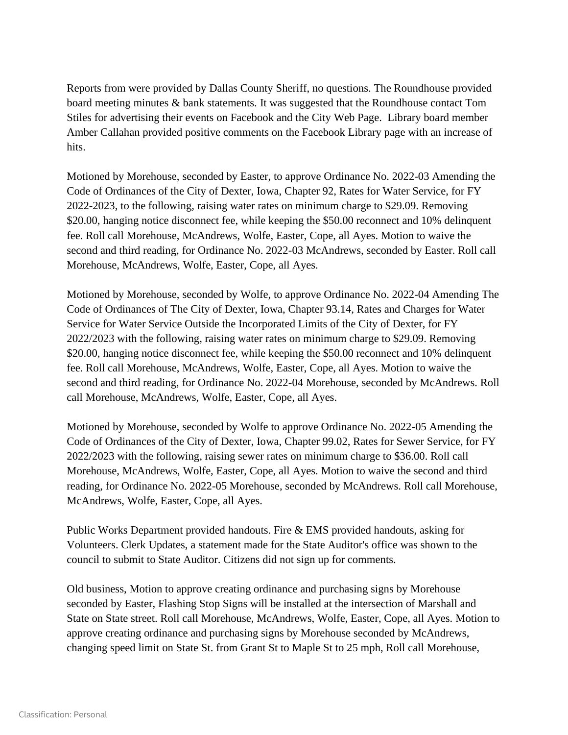Reports from were provided by Dallas County Sheriff, no questions. The Roundhouse provided board meeting minutes & bank statements. It was suggested that the Roundhouse contact Tom Stiles for advertising their events on Facebook and the City Web Page. Library board member Amber Callahan provided positive comments on the Facebook Library page with an increase of hits.

Motioned by Morehouse, seconded by Easter, to approve Ordinance No. 2022-03 Amending the Code of Ordinances of the City of Dexter, Iowa, Chapter 92, Rates for Water Service, for FY 2022-2023, to the following, raising water rates on minimum charge to \$29.09. Removing \$20.00, hanging notice disconnect fee, while keeping the \$50.00 reconnect and 10% delinquent fee. Roll call Morehouse, McAndrews, Wolfe, Easter, Cope, all Ayes. Motion to waive the second and third reading, for Ordinance No. 2022-03 McAndrews, seconded by Easter. Roll call Morehouse, McAndrews, Wolfe, Easter, Cope, all Ayes.

Motioned by Morehouse, seconded by Wolfe, to approve Ordinance No. 2022-04 Amending The Code of Ordinances of The City of Dexter, Iowa, Chapter 93.14, Rates and Charges for Water Service for Water Service Outside the Incorporated Limits of the City of Dexter, for FY 2022/2023 with the following, raising water rates on minimum charge to \$29.09. Removing \$20.00, hanging notice disconnect fee, while keeping the \$50.00 reconnect and 10% delinquent fee. Roll call Morehouse, McAndrews, Wolfe, Easter, Cope, all Ayes. Motion to waive the second and third reading, for Ordinance No. 2022-04 Morehouse, seconded by McAndrews. Roll call Morehouse, McAndrews, Wolfe, Easter, Cope, all Ayes.

Motioned by Morehouse, seconded by Wolfe to approve Ordinance No. 2022-05 Amending the Code of Ordinances of the City of Dexter, Iowa, Chapter 99.02, Rates for Sewer Service, for FY 2022/2023 with the following, raising sewer rates on minimum charge to \$36.00. Roll call Morehouse, McAndrews, Wolfe, Easter, Cope, all Ayes. Motion to waive the second and third reading, for Ordinance No. 2022-05 Morehouse, seconded by McAndrews. Roll call Morehouse, McAndrews, Wolfe, Easter, Cope, all Ayes.

Public Works Department provided handouts. Fire & EMS provided handouts, asking for Volunteers. Clerk Updates, a statement made for the State Auditor's office was shown to the council to submit to State Auditor. Citizens did not sign up for comments.

Old business, Motion to approve creating ordinance and purchasing signs by Morehouse seconded by Easter, Flashing Stop Signs will be installed at the intersection of Marshall and State on State street. Roll call Morehouse, McAndrews, Wolfe, Easter, Cope, all Ayes. Motion to approve creating ordinance and purchasing signs by Morehouse seconded by McAndrews, changing speed limit on State St. from Grant St to Maple St to 25 mph, Roll call Morehouse,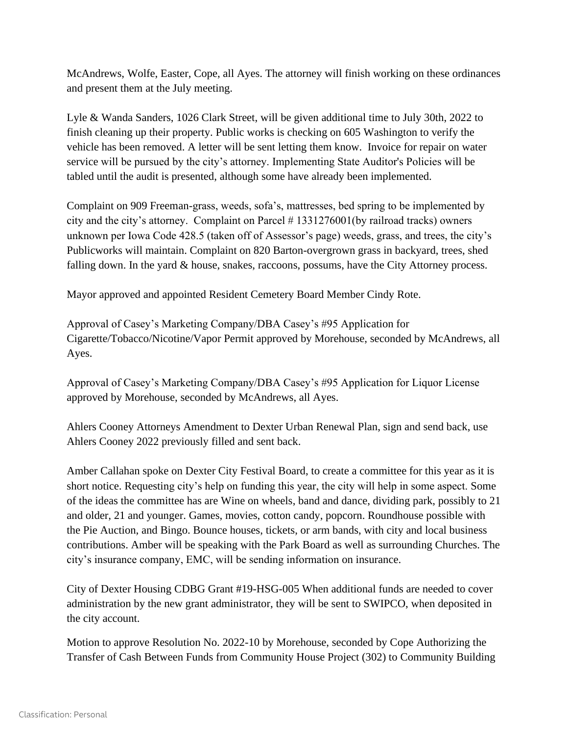McAndrews, Wolfe, Easter, Cope, all Ayes. The attorney will finish working on these ordinances and present them at the July meeting.

Lyle & Wanda Sanders, 1026 Clark Street, will be given additional time to July 30th, 2022 to finish cleaning up their property. Public works is checking on 605 Washington to verify the vehicle has been removed. A letter will be sent letting them know. Invoice for repair on water service will be pursued by the city's attorney. Implementing State Auditor's Policies will be tabled until the audit is presented, although some have already been implemented.

Complaint on 909 Freeman-grass, weeds, sofa's, mattresses, bed spring to be implemented by city and the city's attorney. Complaint on Parcel # 1331276001(by railroad tracks) owners unknown per Iowa Code 428.5 (taken off of Assessor's page) weeds, grass, and trees, the city's Publicworks will maintain. Complaint on 820 Barton-overgrown grass in backyard, trees, shed falling down. In the yard & house, snakes, raccoons, possums, have the City Attorney process.

Mayor approved and appointed Resident Cemetery Board Member Cindy Rote.

Approval of Casey's Marketing Company/DBA Casey's #95 Application for Cigarette/Tobacco/Nicotine/Vapor Permit approved by Morehouse, seconded by McAndrews, all Ayes.

Approval of Casey's Marketing Company/DBA Casey's #95 Application for Liquor License approved by Morehouse, seconded by McAndrews, all Ayes.

Ahlers Cooney Attorneys Amendment to Dexter Urban Renewal Plan, sign and send back, use Ahlers Cooney 2022 previously filled and sent back.

Amber Callahan spoke on Dexter City Festival Board, to create a committee for this year as it is short notice. Requesting city's help on funding this year, the city will help in some aspect. Some of the ideas the committee has are Wine on wheels, band and dance, dividing park, possibly to 21 and older, 21 and younger. Games, movies, cotton candy, popcorn. Roundhouse possible with the Pie Auction, and Bingo. Bounce houses, tickets, or arm bands, with city and local business contributions. Amber will be speaking with the Park Board as well as surrounding Churches. The city's insurance company, EMC, will be sending information on insurance.

City of Dexter Housing CDBG Grant #19-HSG-005 When additional funds are needed to cover administration by the new grant administrator, they will be sent to SWIPCO, when deposited in the city account.

Motion to approve Resolution No. 2022-10 by Morehouse, seconded by Cope Authorizing the Transfer of Cash Between Funds from Community House Project (302) to Community Building